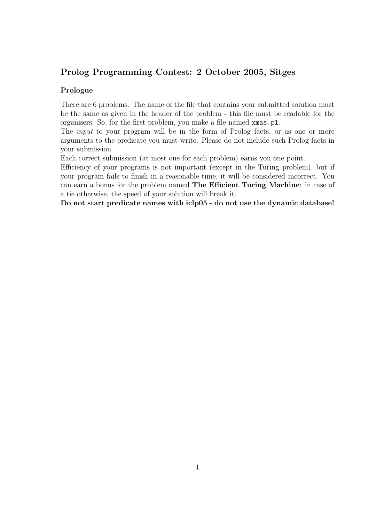# Prolog Programming Contest: 2 October 2005, Sitges

#### Prologue

There are 6 problems. The name of the file that contains your submitted solution must be the same as given in the header of the problem - this file must be readable for the organisers. So, for the first problem, you make a file named xmas.pl.

The *input* to your program will be in the form of Prolog facts, or as one or more arguments to the predicate you must write. Please do not include such Prolog facts in your submission.

Each correct submission (at most one for each problem) earns you one point.

Efficiency of your programs is not important (except in the Turing problem), but if your program fails to finish in a reasonable time, it will be considered incorrect. You can earn a bonus for the problem named The Efficient Turing Machine: in case of a tie otherwise, the speed of your solution will break it.

Do not start predicate names with iclp05 - do not use the dynamic database!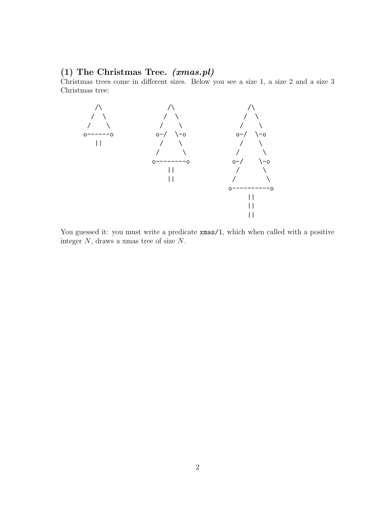### (1) The Christmas Tree. (xmas.pl)

Christmas trees come in different sizes. Below you see a size 1, a size 2 and a size 3 Christmas tree:



You guessed it: you must write a predicate  $x$ mas/1, which when called with a positive integer N, draws a xmas tree of size N.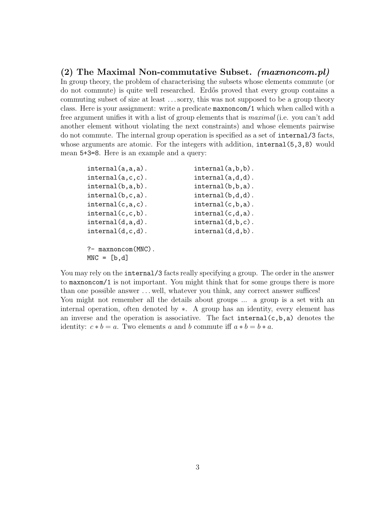(2) The Maximal Non-commutative Subset. (maxnoncom.pl) In group theory, the problem of characterising the subsets whose elements commute (or do not commute) is quite well researched. Erd˝os proved that every group contains a commuting subset of size at least . . .sorry, this was not supposed to be a group theory class. Here is your assignment: write a predicate maxnoncom/1 which when called with a free argument unifies it with a list of group elements that is *maximal* (i.e. you can't add another element without violating the next constraints) and whose elements pairwise do not commute. The internal group operation is specified as a set of internal/3 facts, whose arguments are atomic. For the integers with addition, internal  $(5,3,8)$  would mean 5+3=8. Here is an example and a query:

| $interval(a, a, a)$ .                      | $interval(a, b, b)$ . |
|--------------------------------------------|-----------------------|
| $interval(a, c, c)$ .                      | $interval(a,d,d)$ .   |
| $interval(b, a, b)$ .                      | $interval(b, b, a)$ . |
| $interval(b, c, a)$ .                      | $interval(b,d,d)$ .   |
| $interval(c, a, c)$ .                      | $interval(c, b, a)$ . |
| $interval(c, c, b)$ .                      | $interval(c,d,a)$ .   |
| $interval(d, a, d)$ .                      | $interval(d,b,c)$ .   |
| $interval(d, c, d)$ .                      | $interval(d,d,b)$ .   |
| $?$ - maxnoncom $(MNC)$ .<br>$MNC = [b,d]$ |                       |

You may rely on the internal/3 facts really specifying a group. The order in the answer to maxnoncom/1 is not important. You might think that for some groups there is more than one possible answer . . . well, whatever you think, any correct answer suffices! You might not remember all the details about groups ... a group is a set with an internal operation, often denoted by ∗. A group has an identity, every element has an inverse and the operation is associative. The fact  $internal(c,b,a)$  denotes the identity:  $c * b = a$ . Two elements a and b commute iff  $a * b = b * a$ .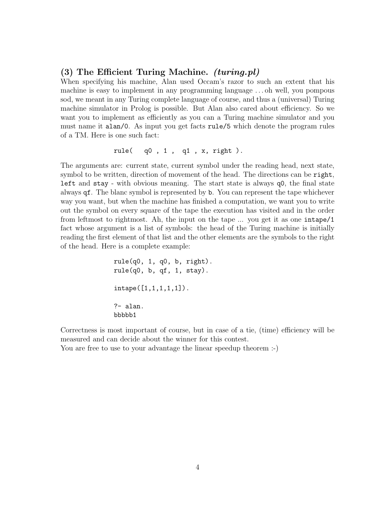#### (3) The Efficient Turing Machine. (turing.pl)

When specifying his machine, Alan used Occam's razor to such an extent that his machine is easy to implement in any programming language . . . oh well, you pompous sod, we meant in any Turing complete language of course, and thus a (universal) Turing machine simulator in Prolog is possible. But Alan also cared about efficiency. So we want you to implement as efficiently as you can a Turing machine simulator and you must name it alan/0. As input you get facts rule/5 which denote the program rules of a TM. Here is one such fact:

rule( q0 , 1 , q1 , x, right ).

The arguments are: current state, current symbol under the reading head, next state, symbol to be written, direction of movement of the head. The directions can be right, left and stay - with obvious meaning. The start state is always q0, the final state always qf. The blanc symbol is represented by b. You can represent the tape whichever way you want, but when the machine has finished a computation, we want you to write out the symbol on every square of the tape the execution has visited and in the order from leftmost to rightmost. Ah, the input on the tape ... you get it as one intape/1 fact whose argument is a list of symbols: the head of the Turing machine is initially reading the first element of that list and the other elements are the symbols to the right of the head. Here is a complete example:

```
rule(q0, 1, q0, b, right).
rule(q0, b, qf, 1, stay).
intape([1,1,1,1,1]).
?- alan.
bbbbb1
```
Correctness is most important of course, but in case of a tie, (time) efficiency will be measured and can decide about the winner for this contest.

You are free to use to your advantage the linear speedup theorem :-)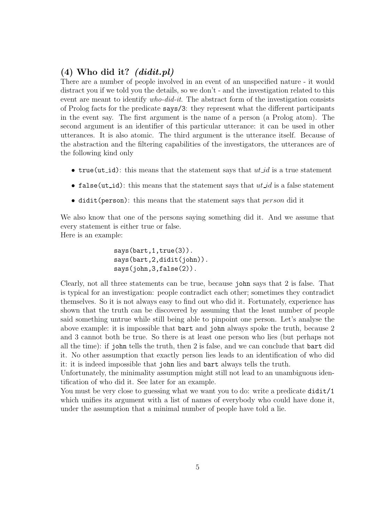## $(4)$  Who did it?  $(didit, pl)$

There are a number of people involved in an event of an unspecified nature - it would distract you if we told you the details, so we don't - and the investigation related to this event are meant to identify who-did-it. The abstract form of the investigation consists of Prolog facts for the predicate says/3: they represent what the different participants in the event say. The first argument is the name of a person (a Prolog atom). The second argument is an identifier of this particular utterance: it can be used in other utterances. It is also atomic. The third argument is the utterance itself. Because of the abstraction and the filtering capabilities of the investigators, the utterances are of the following kind only

- true(ut\_id): this means that the statement says that  $ut$  is a true statement
- false (ut \_id): this means that the statement says that  $ut$  is a false statement
- didit(person): this means that the statement says that  $person$  did it

We also know that one of the persons saying something did it. And we assume that every statement is either true or false. Here is an example:

> says(bart, 1, true(3)). says(bart,2,didit(john)). says(john,3,false(2)).

Clearly, not all three statements can be true, because john says that 2 is false. That is typical for an investigation: people contradict each other; sometimes they contradict themselves. So it is not always easy to find out who did it. Fortunately, experience has shown that the truth can be discovered by assuming that the least number of people said something untrue while still being able to pinpoint one person. Let's analyse the above example: it is impossible that bart and john always spoke the truth, because 2 and 3 cannot both be true. So there is at least one person who lies (but perhaps not all the time): if john tells the truth, then 2 is false, and we can conclude that bart did it. No other assumption that exactly person lies leads to an identification of who did it: it is indeed impossible that john lies and bart always tells the truth.

Unfortunately, the minimality assumption might still not lead to an unambiguous identification of who did it. See later for an example.

You must be very close to guessing what we want you to do: write a predicate didit/1 which unifies its argument with a list of names of everybody who could have done it, under the assumption that a minimal number of people have told a lie.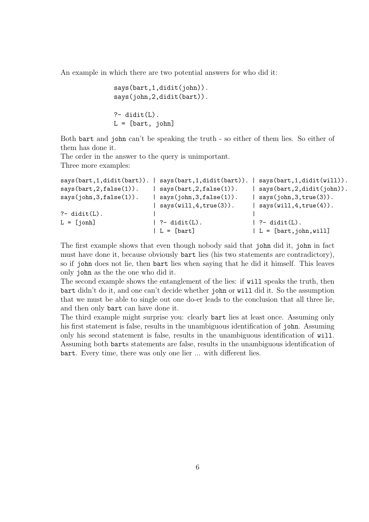An example in which there are two potential answers for who did it:

```
says(bart,1,didit(john)).
says(john,2,didit(bart)).
?- didit(L).
L = [bart, john]
```
Both bart and john can't be speaking the truth - so either of them lies. So either of them has done it.

The order in the answer to the query is unimportant. Three more examples:

```
says(bart,1,didit(bart)). | says(bart,1,didit(bart)). | says(bart,1,didit(will)).
says(bart, 2, false(1)). | says(bart, 2, false(1)). | says(bart, 2, didit(john)).
says(john,3,false(1)). | says(john,3,false(1)). | says(john,3,true(3)).
                       \vert says(will, 4, true(3)). \vert says(will, 4, true(4)).
?- didit(L). |L = [joph] | ?- didit(L). | ?- didit(L).
                       | L = [bart] | L = [bart, john, will]
```
The first example shows that even though nobody said that john did it, john in fact must have done it, because obviously bart lies (his two statements are contradictory), so if john does not lie, then bart lies when saying that he did it himself. This leaves only john as the the one who did it.

The second example shows the entanglement of the lies: if will speaks the truth, then bart didn't do it, and one can't decide whether john or will did it. So the assumption that we must be able to single out one do-er leads to the conclusion that all three lie, and then only bart can have done it.

The third example might surprise you: clearly bart lies at least once. Assuming only his first statement is false, results in the unambiguous identification of john. Assuming only his second statement is false, results in the unambiguous identification of will. Assuming both barts statements are false, results in the unambiguous identification of bart. Every time, there was only one lier ... with different lies.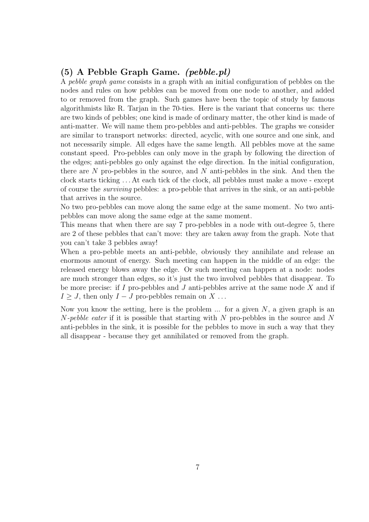## (5) A Pebble Graph Game. (pebble.pl)

A pebble graph game consists in a graph with an initial configuration of pebbles on the nodes and rules on how pebbles can be moved from one node to another, and added to or removed from the graph. Such games have been the topic of study by famous algorithmists like R. Tarjan in the 70-ties. Here is the variant that concerns us: there are two kinds of pebbles; one kind is made of ordinary matter, the other kind is made of anti-matter. We will name them pro-pebbles and anti-pebbles. The graphs we consider are similar to transport networks: directed, acyclic, with one source and one sink, and not necessarily simple. All edges have the same length. All pebbles move at the same constant speed. Pro-pebbles can only move in the graph by following the direction of the edges; anti-pebbles go only against the edge direction. In the initial configuration, there are  $N$  pro-pebbles in the source, and  $N$  anti-pebbles in the sink. And then the clock starts ticking . . . At each tick of the clock, all pebbles must make a move - except of course the surviving pebbles: a pro-pebble that arrives in the sink, or an anti-pebble that arrives in the source.

No two pro-pebbles can move along the same edge at the same moment. No two antipebbles can move along the same edge at the same moment.

This means that when there are say 7 pro-pebbles in a node with out-degree 5, there are 2 of these pebbles that can't move: they are taken away from the graph. Note that you can't take 3 pebbles away!

When a pro-pebble meets an anti-pebble, obviously they annihilate and release an enormous amount of energy. Such meeting can happen in the middle of an edge: the released energy blows away the edge. Or such meeting can happen at a node: nodes are much stronger than edges, so it's just the two involved pebbles that disappear. To be more precise: if  $I$  pro-pebbles and  $J$  anti-pebbles arrive at the same node  $X$  and if  $I \geq J$ , then only  $I - J$  pro-pebbles remain on X ...

Now you know the setting, here is the problem  $\ldots$  for a given N, a given graph is an  $N$ -pebble eater if it is possible that starting with N pro-pebbles in the source and N anti-pebbles in the sink, it is possible for the pebbles to move in such a way that they all disappear - because they get annihilated or removed from the graph.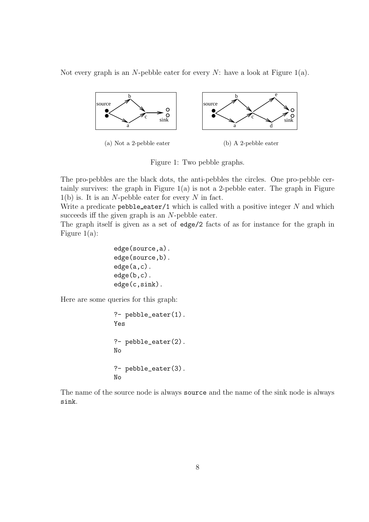Not every graph is an N-pebble eater for every N: have a look at Figure  $1(a)$ .



(a) Not a 2-pebble eater (b) A 2-pebble eater

Figure 1: Two pebble graphs.

The pro-pebbles are the black dots, the anti-pebbles the circles. One pro-pebble certainly survives: the graph in Figure  $1(a)$  is not a 2-pebble eater. The graph in Figure  $1(b)$  is. It is an N-pebble eater for every N in fact.

Write a predicate  $pebble_eater/1$  which is called with a positive integer  $N$  and which succeeds iff the given graph is an N-pebble eater.

The graph itself is given as a set of edge/2 facts of as for instance for the graph in Figure 1(a):

edge(source,a). edge(source,b). edge(a,c). edge(b,c). edge(c,sink).

Here are some queries for this graph:

?- pebble\_eater(1). Yes ?- pebble\_eater(2). No ?- pebble\_eater(3). No

The name of the source node is always source and the name of the sink node is always sink.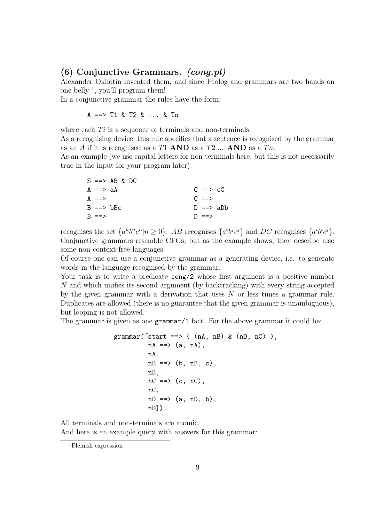#### (6) Conjunctive Grammars. (cong.pl)

Alexander Okhotin invented them, and since Prolog and grammars are two hands on one belly  $\frac{1}{2}$ , you'll program them!

In a conjunctive grammar the rules have the form:

A ==> T1 & T2 & ... & Tn

where each  $Ti$  is a sequence of terminals and non-terminals.

As a recognising device, this rule specifies that a sentence is recognised by the grammar as an A if it is recognised as a T1 **AND** as a T2  $\ldots$  **AND** as a Tn.

As an example (we use capital letters for non-terminals here, but this is not necessarily true in the input for your program later):

|                       | $S \implies AB \& DC$ |                     |  |
|-----------------------|-----------------------|---------------------|--|
| A ==> aA              |                       | $C \implies cC$     |  |
| $A = =>$              |                       | $C = = >$           |  |
| $B \implies bBc$      |                       | $D \equiv \geq$ and |  |
| $R \equiv \equiv \gt$ |                       | $D = = >$           |  |

recognises the set  $\{a^n b^n c^n | n \ge 0\}$ : AB recognises  $\{a^i b^j c^j\}$  and DC recognises  $\{a^i b^i c^j\}$ . Conjunctive grammars resemble CFGs, but as the example shows, they describe also some non-context-free languages.

Of course one can use a conjunctive grammar as a generating device, i.e. to generate words in the language recognised by the grammar.

Your task is to write a predicate  $\text{cong}/2$  whose first argument is a positive number N and which unifies its second argument (by backtracking) with every string accepted by the given grammar with a derivation that uses  $N$  or less times a grammar rule. Duplicates are allowed (there is no guarantee that the given grammar is unambiguous), but looping is not allowed.

The grammar is given as one grammar/1 fact. For the above grammar it could be:

```
grammar([start ==> ( (nA, nB) & (nD, nC) ),
          nA \implies (a, nA),
          nA,
          nB \implies (b, nB, c).
          nB,
          nC \implies (c, nC),
          nC,
          nD \implies (a, nD, b),nD]).
```
All terminals and non-terminals are atomic.

And here is an example query with answers for this grammar:

<sup>1</sup>Flemish expression